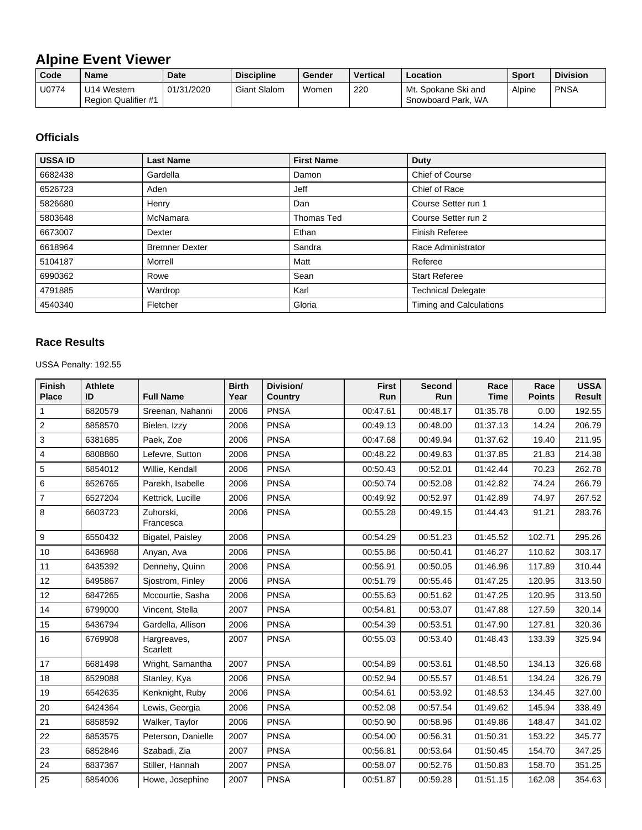## **Alpine Event Viewer**

| Code  | <b>Name</b>                        | <b>Date</b> | <b>Discipline</b>   | Gender | <b>Vertical</b> | Location                                  | <b>Sport</b> | <b>Division</b> |
|-------|------------------------------------|-------------|---------------------|--------|-----------------|-------------------------------------------|--------------|-----------------|
| U0774 | U14 Western<br>Region Qualifier #1 | 01/31/2020  | <b>Giant Slalom</b> | Women  | 220             | Mt. Spokane Ski and<br>Snowboard Park, WA | Alpine       | <b>PNSA</b>     |

## **Officials**

| <b>USSA ID</b> | <b>Last Name</b>      | <b>First Name</b> | <b>Duty</b>                    |
|----------------|-----------------------|-------------------|--------------------------------|
| 6682438        | Gardella              | Damon             | <b>Chief of Course</b>         |
| 6526723        | Aden                  | <b>Jeff</b>       | Chief of Race                  |
| 5826680        | Henry                 | Dan               | Course Setter run 1            |
| 5803648        | McNamara              | Thomas Ted        | Course Setter run 2            |
| 6673007        | Dexter                | Ethan             | <b>Finish Referee</b>          |
| 6618964        | <b>Bremner Dexter</b> | Sandra            | Race Administrator             |
| 5104187        | Morrell               | Matt              | Referee                        |
| 6990362        | Rowe                  | Sean              | <b>Start Referee</b>           |
| 4791885        | Wardrop               | Karl              | <b>Technical Delegate</b>      |
| 4540340        | Fletcher              | Gloria            | <b>Timing and Calculations</b> |

## **Race Results**

USSA Penalty: 192.55

| <b>Finish</b><br><b>Place</b> | <b>Athlete</b><br>ID | <b>Full Name</b>        | <b>Birth</b><br>Year | Division/<br><b>Country</b> | <b>First</b><br>Run | Second<br>Run | Race<br><b>Time</b> | Race<br><b>Points</b> | <b>USSA</b><br><b>Result</b> |
|-------------------------------|----------------------|-------------------------|----------------------|-----------------------------|---------------------|---------------|---------------------|-----------------------|------------------------------|
| 1                             | 6820579              | Sreenan, Nahanni        | 2006                 | <b>PNSA</b>                 | 00:47.61            | 00:48.17      | 01:35.78            | 0.00                  | 192.55                       |
| $\overline{c}$                | 6858570              | Bielen, Izzy            | 2006                 | <b>PNSA</b>                 | 00:49.13            | 00:48.00      | 01:37.13            | 14.24                 | 206.79                       |
| 3                             | 6381685              | Paek, Zoe               | 2006                 | <b>PNSA</b>                 | 00:47.68            | 00:49.94      | 01:37.62            | 19.40                 | 211.95                       |
| 4                             | 6808860              | Lefevre, Sutton         | 2006                 | <b>PNSA</b>                 | 00:48.22            | 00:49.63      | 01:37.85            | 21.83                 | 214.38                       |
| 5                             | 6854012              | Willie, Kendall         | 2006                 | <b>PNSA</b>                 | 00:50.43            | 00:52.01      | 01:42.44            | 70.23                 | 262.78                       |
| 6                             | 6526765              | Parekh, Isabelle        | 2006                 | <b>PNSA</b>                 | 00:50.74            | 00:52.08      | 01:42.82            | 74.24                 | 266.79                       |
| $\overline{7}$                | 6527204              | Kettrick, Lucille       | 2006                 | <b>PNSA</b>                 | 00:49.92            | 00:52.97      | 01:42.89            | 74.97                 | 267.52                       |
| 8                             | 6603723              | Zuhorski,<br>Francesca  | 2006                 | <b>PNSA</b>                 | 00:55.28            | 00:49.15      | 01:44.43            | 91.21                 | 283.76                       |
| 9                             | 6550432              | Bigatel, Paisley        | 2006                 | <b>PNSA</b>                 | 00:54.29            | 00:51.23      | 01:45.52            | 102.71                | 295.26                       |
| 10                            | 6436968              | Anyan, Ava              | 2006                 | <b>PNSA</b>                 | 00:55.86            | 00:50.41      | 01:46.27            | 110.62                | 303.17                       |
| 11                            | 6435392              | Dennehy, Quinn          | 2006                 | <b>PNSA</b>                 | 00:56.91            | 00:50.05      | 01:46.96            | 117.89                | 310.44                       |
| 12                            | 6495867              | Siostrom, Finley        | 2006                 | <b>PNSA</b>                 | 00:51.79            | 00:55.46      | 01:47.25            | 120.95                | 313.50                       |
| 12                            | 6847265              | Mccourtie, Sasha        | 2006                 | <b>PNSA</b>                 | 00:55.63            | 00:51.62      | 01:47.25            | 120.95                | 313.50                       |
| 14                            | 6799000              | Vincent, Stella         | 2007                 | <b>PNSA</b>                 | 00:54.81            | 00:53.07      | 01:47.88            | 127.59                | 320.14                       |
| 15                            | 6436794              | Gardella, Allison       | 2006                 | <b>PNSA</b>                 | 00:54.39            | 00:53.51      | 01:47.90            | 127.81                | 320.36                       |
| 16                            | 6769908              | Hargreaves,<br>Scarlett | 2007                 | <b>PNSA</b>                 | 00:55.03            | 00:53.40      | 01:48.43            | 133.39                | 325.94                       |
| 17                            | 6681498              | Wright, Samantha        | 2007                 | <b>PNSA</b>                 | 00:54.89            | 00:53.61      | 01:48.50            | 134.13                | 326.68                       |
| 18                            | 6529088              | Stanley, Kya            | 2006                 | <b>PNSA</b>                 | 00:52.94            | 00:55.57      | 01:48.51            | 134.24                | 326.79                       |
| 19                            | 6542635              | Kenknight, Ruby         | 2006                 | <b>PNSA</b>                 | 00:54.61            | 00:53.92      | 01:48.53            | 134.45                | 327.00                       |
| 20                            | 6424364              | Lewis, Georgia          | 2006                 | <b>PNSA</b>                 | 00:52.08            | 00:57.54      | 01:49.62            | 145.94                | 338.49                       |
| 21                            | 6858592              | Walker, Taylor          | 2006                 | <b>PNSA</b>                 | 00:50.90            | 00:58.96      | 01:49.86            | 148.47                | 341.02                       |
| 22                            | 6853575              | Peterson, Danielle      | 2007                 | <b>PNSA</b>                 | 00:54.00            | 00:56.31      | 01:50.31            | 153.22                | 345.77                       |
| 23                            | 6852846              | Szabadi, Zia            | 2007                 | <b>PNSA</b>                 | 00:56.81            | 00:53.64      | 01:50.45            | 154.70                | 347.25                       |
| 24                            | 6837367              | Stiller, Hannah         | 2007                 | <b>PNSA</b>                 | 00:58.07            | 00:52.76      | 01:50.83            | 158.70                | 351.25                       |
| 25                            | 6854006              | Howe, Josephine         | 2007                 | <b>PNSA</b>                 | 00:51.87            | 00:59.28      | 01:51.15            | 162.08                | 354.63                       |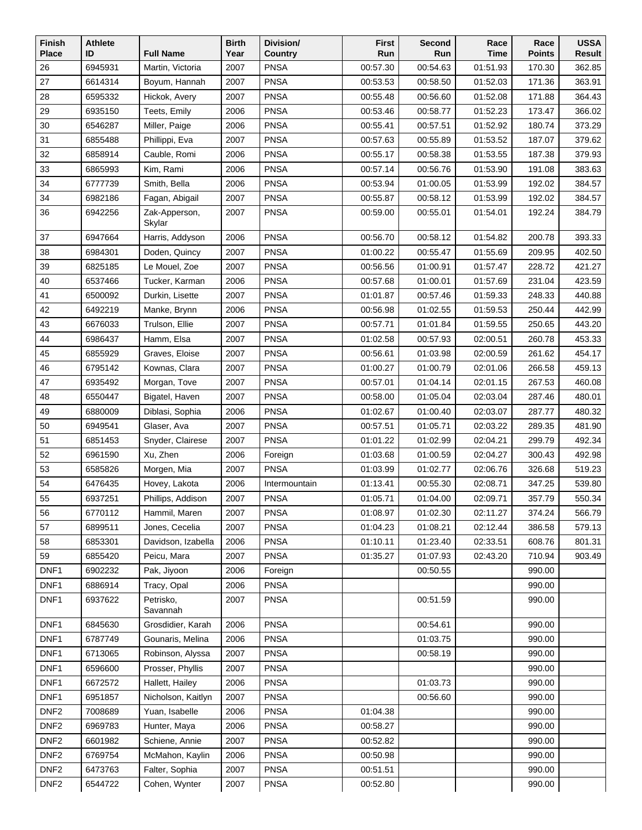| <b>Finish</b>    | <b>Athlete</b><br>ID |                                   | <b>Birth</b> | Division/              | <b>First</b>         | Second               | Race                 | Race<br><b>Points</b> | <b>USSA</b>      |
|------------------|----------------------|-----------------------------------|--------------|------------------------|----------------------|----------------------|----------------------|-----------------------|------------------|
| <b>Place</b>     | 6945931              | <b>Full Name</b>                  | Year         | Country<br><b>PNSA</b> | Run                  | Run                  | <b>Time</b>          |                       | Result           |
| 26<br>27         |                      | Martin, Victoria<br>Boyum, Hannah | 2007         | <b>PNSA</b>            | 00:57.30             | 00:54.63             | 01:51.93             | 170.30                | 362.85<br>363.91 |
| 28               | 6614314<br>6595332   | Hickok, Avery                     | 2007<br>2007 | <b>PNSA</b>            | 00:53.53<br>00:55.48 | 00:58.50<br>00:56.60 | 01:52.03<br>01:52.08 | 171.36<br>171.88      | 364.43           |
| 29               | 6935150              | Teets, Emily                      | 2006         | <b>PNSA</b>            | 00:53.46             | 00:58.77             | 01:52.23             | 173.47                | 366.02           |
| 30               | 6546287              | Miller, Paige                     | 2006         | <b>PNSA</b>            | 00:55.41             | 00:57.51             | 01:52.92             | 180.74                | 373.29           |
| 31               | 6855488              | Phillippi, Eva                    | 2007         | <b>PNSA</b>            | 00:57.63             | 00:55.89             | 01:53.52             | 187.07                | 379.62           |
| 32               | 6858914              | Cauble, Romi                      | 2006         | <b>PNSA</b>            | 00:55.17             | 00:58.38             | 01:53.55             | 187.38                | 379.93           |
| 33               | 6865993              | Kim, Rami                         | 2006         | <b>PNSA</b>            | 00:57.14             | 00:56.76             | 01:53.90             | 191.08                | 383.63           |
| 34               | 6777739              | Smith, Bella                      | 2006         | <b>PNSA</b>            | 00:53.94             | 01:00.05             | 01:53.99             | 192.02                | 384.57           |
| 34               | 6982186              | Fagan, Abigail                    | 2007         | PNSA                   | 00:55.87             | 00:58.12             | 01:53.99             | 192.02                | 384.57           |
| 36               | 6942256              | Zak-Apperson,                     | 2007         | <b>PNSA</b>            | 00:59.00             | 00:55.01             | 01:54.01             | 192.24                | 384.79           |
|                  |                      | Skylar                            |              |                        |                      |                      |                      |                       |                  |
| 37               | 6947664              | Harris, Addyson                   | 2006         | <b>PNSA</b>            | 00:56.70             | 00:58.12             | 01:54.82             | 200.78                | 393.33           |
| 38               | 6984301              | Doden, Quincy                     | 2007         | <b>PNSA</b>            | 01:00.22             | 00:55.47             | 01:55.69             | 209.95                | 402.50           |
| 39               | 6825185              | Le Mouel, Zoe                     | 2007         | <b>PNSA</b>            | 00:56.56             | 01:00.91             | 01:57.47             | 228.72                | 421.27           |
| 40               | 6537466              | Tucker, Karman                    | 2006         | <b>PNSA</b>            | 00:57.68             | 01:00.01             | 01:57.69             | 231.04                | 423.59           |
| 41               | 6500092              | Durkin, Lisette                   | 2007         | <b>PNSA</b>            | 01:01.87             | 00:57.46             | 01:59.33             | 248.33                | 440.88           |
| 42               | 6492219              | Manke, Brynn                      | 2006         | <b>PNSA</b>            | 00:56.98             | 01:02.55             | 01:59.53             | 250.44                | 442.99           |
| 43               | 6676033              | Trulson, Ellie                    | 2007         | <b>PNSA</b>            | 00:57.71             | 01:01.84             | 01:59.55             | 250.65                | 443.20           |
| 44               | 6986437              | Hamm, Elsa                        | 2007         | <b>PNSA</b>            | 01:02.58             | 00:57.93             | 02:00.51             | 260.78                | 453.33           |
| 45               | 6855929              | Graves, Eloise                    | 2007         | <b>PNSA</b>            | 00:56.61             | 01:03.98             | 02:00.59             | 261.62                | 454.17           |
| 46               | 6795142              | Kownas, Clara                     | 2007         | <b>PNSA</b>            | 01:00.27             | 01:00.79             | 02:01.06             | 266.58                | 459.13           |
| 47               | 6935492              | Morgan, Tove                      | 2007         | <b>PNSA</b>            | 00:57.01             | 01:04.14             | 02:01.15             | 267.53                | 460.08           |
| 48               | 6550447              | Bigatel, Haven                    | 2007         | <b>PNSA</b>            | 00:58.00             | 01:05.04             | 02:03.04             | 287.46                | 480.01           |
| 49               | 6880009              | Diblasi, Sophia                   | 2006         | <b>PNSA</b>            | 01:02.67             | 01:00.40             | 02:03.07             | 287.77                | 480.32           |
| 50               | 6949541              | Glaser, Ava                       | 2007         | PNSA                   | 00:57.51             | 01:05.71             | 02:03.22             | 289.35                | 481.90           |
| 51               | 6851453              | Snyder, Clairese                  | 2007         | <b>PNSA</b>            | 01:01.22             | 01:02.99             | 02:04.21             | 299.79                | 492.34           |
| 52               | 6961590              | Xu, Zhen                          | 2006         | Foreign                | 01:03.68             | 01:00.59             | 02:04.27             | 300.43                | 492.98           |
| 53               | 6585826              | Morgen, Mia                       | 2007         | <b>PNSA</b>            | 01:03.99             | 01:02.77             | 02:06.76             | 326.68                | 519.23           |
| 54               | 6476435              | Hovey, Lakota                     | 2006         | Intermountain          | 01:13.41             | 00:55.30             | 02:08.71             | 347.25                | 539.80           |
| 55               | 6937251              | Phillips, Addison                 | 2007         | <b>PNSA</b>            | 01:05.71             | 01:04.00             | 02:09.71             | 357.79                | 550.34           |
| 56               | 6770112              | Hammil, Maren                     | 2007         | <b>PNSA</b>            | 01:08.97             | 01:02.30             | 02:11.27             | 374.24                | 566.79           |
| 57               | 6899511              | Jones, Cecelia                    | 2007         | <b>PNSA</b>            | 01:04.23             | 01:08.21             | 02:12.44             | 386.58                | 579.13           |
| 58               | 6853301              | Davidson, Izabella                | 2006         | <b>PNSA</b>            | 01:10.11             | 01:23.40             | 02:33.51             | 608.76                | 801.31           |
| 59               | 6855420              | Peicu, Mara                       | 2007         | <b>PNSA</b>            | 01:35.27             | 01:07.93             | 02:43.20             | 710.94                | 903.49           |
| DNF <sub>1</sub> | 6902232              | Pak, Jiyoon                       | 2006         | Foreign                |                      | 00:50.55             |                      | 990.00                |                  |
| DNF1             | 6886914              | Tracy, Opal                       | 2006         | <b>PNSA</b>            |                      |                      |                      | 990.00                |                  |
| DNF1             | 6937622              | Petrisko,<br>Savannah             | 2007         | <b>PNSA</b>            |                      | 00:51.59             |                      | 990.00                |                  |
| DNF1             | 6845630              | Grosdidier, Karah                 | 2006         | <b>PNSA</b>            |                      | 00:54.61             |                      | 990.00                |                  |
| DNF1             | 6787749              | Gounaris, Melina                  | 2006         | <b>PNSA</b>            |                      | 01:03.75             |                      | 990.00                |                  |
| DNF1             | 6713065              | Robinson, Alyssa                  | 2007         | <b>PNSA</b>            |                      | 00:58.19             |                      | 990.00                |                  |
| DNF1             | 6596600              | Prosser, Phyllis                  | 2007         | <b>PNSA</b>            |                      |                      |                      | 990.00                |                  |
| DNF1             | 6672572              | Hallett, Hailey                   | 2006         | <b>PNSA</b>            |                      | 01:03.73             |                      | 990.00                |                  |
| DNF1             | 6951857              | Nicholson, Kaitlyn                | 2007         | <b>PNSA</b>            |                      | 00:56.60             |                      | 990.00                |                  |
| DNF <sub>2</sub> | 7008689              | Yuan, Isabelle                    | 2006         | <b>PNSA</b>            | 01:04.38             |                      |                      | 990.00                |                  |
| DNF <sub>2</sub> | 6969783              | Hunter, Maya                      | 2006         | <b>PNSA</b>            | 00:58.27             |                      |                      | 990.00                |                  |
| DNF <sub>2</sub> | 6601982              | Schiene, Annie                    | 2007         | <b>PNSA</b>            | 00:52.82             |                      |                      | 990.00                |                  |
| DNF <sub>2</sub> | 6769754              | McMahon, Kaylin                   | 2006         | <b>PNSA</b>            | 00:50.98             |                      |                      | 990.00                |                  |
| DNF <sub>2</sub> | 6473763              | Falter, Sophia                    | 2007         | PNSA                   | 00:51.51             |                      |                      | 990.00                |                  |
| DNF <sub>2</sub> | 6544722              | Cohen, Wynter                     | 2007         | <b>PNSA</b>            | 00:52.80             |                      |                      | 990.00                |                  |